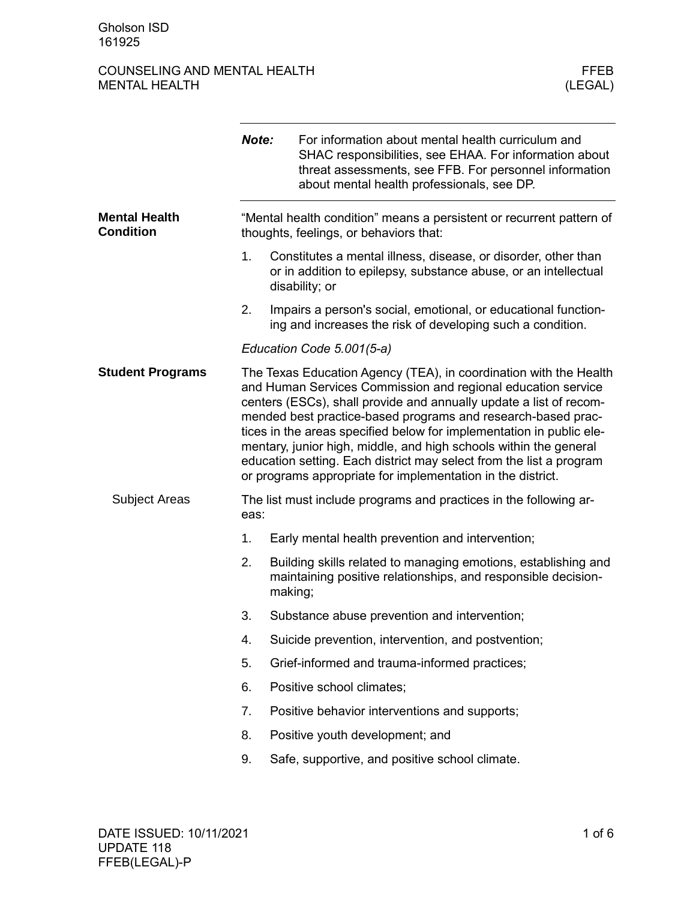## COUNSELING AND MENTAL HEALTH FEER THE MENTAL HEALTH SERVICE SERVICES AND MENTAL HEALTH MENTAL HEALTH

|                                          | Note:                                                                                                          | For information about mental health curriculum and<br>SHAC responsibilities, see EHAA. For information about<br>threat assessments, see FFB. For personnel information<br>about mental health professionals, see DP.                                                                                                                                                                                                                                                                                                                                       |  |
|------------------------------------------|----------------------------------------------------------------------------------------------------------------|------------------------------------------------------------------------------------------------------------------------------------------------------------------------------------------------------------------------------------------------------------------------------------------------------------------------------------------------------------------------------------------------------------------------------------------------------------------------------------------------------------------------------------------------------------|--|
| <b>Mental Health</b><br><b>Condition</b> | "Mental health condition" means a persistent or recurrent pattern of<br>thoughts, feelings, or behaviors that: |                                                                                                                                                                                                                                                                                                                                                                                                                                                                                                                                                            |  |
|                                          | 1.                                                                                                             | Constitutes a mental illness, disease, or disorder, other than<br>or in addition to epilepsy, substance abuse, or an intellectual<br>disability; or                                                                                                                                                                                                                                                                                                                                                                                                        |  |
|                                          | 2.                                                                                                             | Impairs a person's social, emotional, or educational function-<br>ing and increases the risk of developing such a condition.                                                                                                                                                                                                                                                                                                                                                                                                                               |  |
|                                          | Education Code 5.001(5-a)                                                                                      |                                                                                                                                                                                                                                                                                                                                                                                                                                                                                                                                                            |  |
| <b>Student Programs</b>                  |                                                                                                                | The Texas Education Agency (TEA), in coordination with the Health<br>and Human Services Commission and regional education service<br>centers (ESCs), shall provide and annually update a list of recom-<br>mended best practice-based programs and research-based prac-<br>tices in the areas specified below for implementation in public ele-<br>mentary, junior high, middle, and high schools within the general<br>education setting. Each district may select from the list a program<br>or programs appropriate for implementation in the district. |  |
| <b>Subject Areas</b>                     | eas:                                                                                                           | The list must include programs and practices in the following ar-                                                                                                                                                                                                                                                                                                                                                                                                                                                                                          |  |
|                                          | 1.                                                                                                             | Early mental health prevention and intervention;                                                                                                                                                                                                                                                                                                                                                                                                                                                                                                           |  |
|                                          | 2.                                                                                                             | Building skills related to managing emotions, establishing and<br>maintaining positive relationships, and responsible decision-<br>making;                                                                                                                                                                                                                                                                                                                                                                                                                 |  |
|                                          | 3.                                                                                                             | Substance abuse prevention and intervention;                                                                                                                                                                                                                                                                                                                                                                                                                                                                                                               |  |
|                                          | 4.                                                                                                             | Suicide prevention, intervention, and postvention;                                                                                                                                                                                                                                                                                                                                                                                                                                                                                                         |  |
|                                          | 5.                                                                                                             | Grief-informed and trauma-informed practices;                                                                                                                                                                                                                                                                                                                                                                                                                                                                                                              |  |
|                                          | 6.                                                                                                             | Positive school climates;                                                                                                                                                                                                                                                                                                                                                                                                                                                                                                                                  |  |
|                                          | 7.                                                                                                             | Positive behavior interventions and supports;                                                                                                                                                                                                                                                                                                                                                                                                                                                                                                              |  |
|                                          | 8.                                                                                                             | Positive youth development; and                                                                                                                                                                                                                                                                                                                                                                                                                                                                                                                            |  |
|                                          | 9.                                                                                                             | Safe, supportive, and positive school climate.                                                                                                                                                                                                                                                                                                                                                                                                                                                                                                             |  |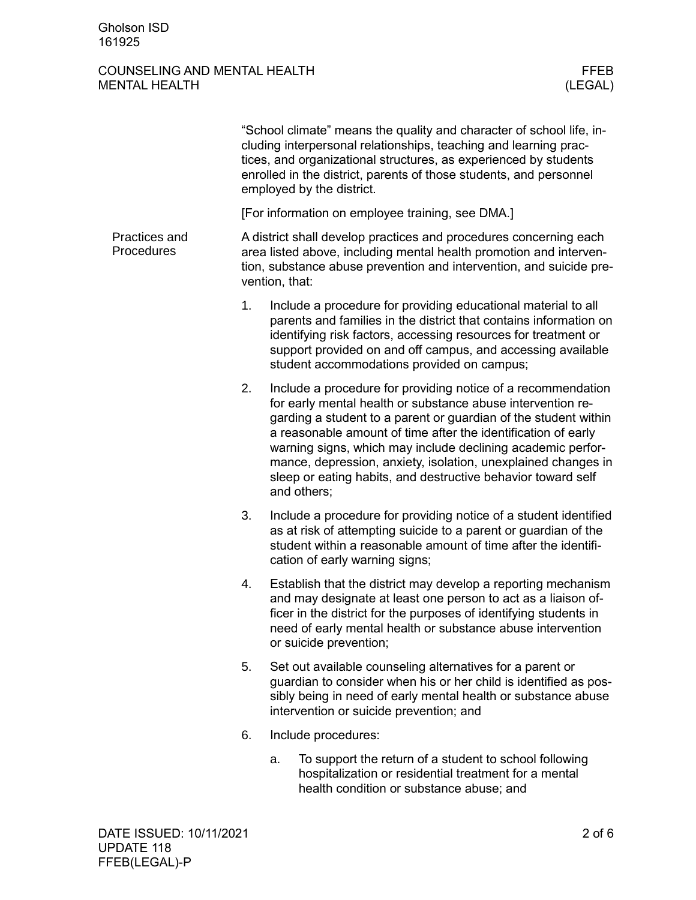### COUNSELING AND MENTAL HEALTH FEER MENTAL HEALTH (LEGAL) MENTAL HEALTH

|                             | "School climate" means the quality and character of school life, in-<br>cluding interpersonal relationships, teaching and learning prac-<br>tices, and organizational structures, as experienced by students<br>enrolled in the district, parents of those students, and personnel<br>employed by the district. |                                                                                                                                                                                                                                                                                                                                                                                                                                                                                |  |  |
|-----------------------------|-----------------------------------------------------------------------------------------------------------------------------------------------------------------------------------------------------------------------------------------------------------------------------------------------------------------|--------------------------------------------------------------------------------------------------------------------------------------------------------------------------------------------------------------------------------------------------------------------------------------------------------------------------------------------------------------------------------------------------------------------------------------------------------------------------------|--|--|
|                             | [For information on employee training, see DMA.]                                                                                                                                                                                                                                                                |                                                                                                                                                                                                                                                                                                                                                                                                                                                                                |  |  |
| Practices and<br>Procedures | A district shall develop practices and procedures concerning each<br>area listed above, including mental health promotion and interven-<br>tion, substance abuse prevention and intervention, and suicide pre-<br>vention, that:                                                                                |                                                                                                                                                                                                                                                                                                                                                                                                                                                                                |  |  |
|                             | 1.                                                                                                                                                                                                                                                                                                              | Include a procedure for providing educational material to all<br>parents and families in the district that contains information on<br>identifying risk factors, accessing resources for treatment or<br>support provided on and off campus, and accessing available<br>student accommodations provided on campus;                                                                                                                                                              |  |  |
|                             | 2.                                                                                                                                                                                                                                                                                                              | Include a procedure for providing notice of a recommendation<br>for early mental health or substance abuse intervention re-<br>garding a student to a parent or guardian of the student within<br>a reasonable amount of time after the identification of early<br>warning signs, which may include declining academic perfor-<br>mance, depression, anxiety, isolation, unexplained changes in<br>sleep or eating habits, and destructive behavior toward self<br>and others; |  |  |
|                             | 3.                                                                                                                                                                                                                                                                                                              | Include a procedure for providing notice of a student identified<br>as at risk of attempting suicide to a parent or guardian of the<br>student within a reasonable amount of time after the identifi-<br>cation of early warning signs;                                                                                                                                                                                                                                        |  |  |
|                             | 4.                                                                                                                                                                                                                                                                                                              | Establish that the district may develop a reporting mechanism<br>and may designate at least one person to act as a liaison of-<br>ficer in the district for the purposes of identifying students in<br>need of early mental health or substance abuse intervention<br>or suicide prevention;                                                                                                                                                                                   |  |  |
|                             | 5.                                                                                                                                                                                                                                                                                                              | Set out available counseling alternatives for a parent or<br>guardian to consider when his or her child is identified as pos-<br>sibly being in need of early mental health or substance abuse<br>intervention or suicide prevention; and                                                                                                                                                                                                                                      |  |  |
|                             | 6.                                                                                                                                                                                                                                                                                                              | Include procedures:                                                                                                                                                                                                                                                                                                                                                                                                                                                            |  |  |
|                             |                                                                                                                                                                                                                                                                                                                 | To support the return of a student to school following<br>a.<br>hospitalization or residential treatment for a mental<br>health condition or substance abuse; and                                                                                                                                                                                                                                                                                                              |  |  |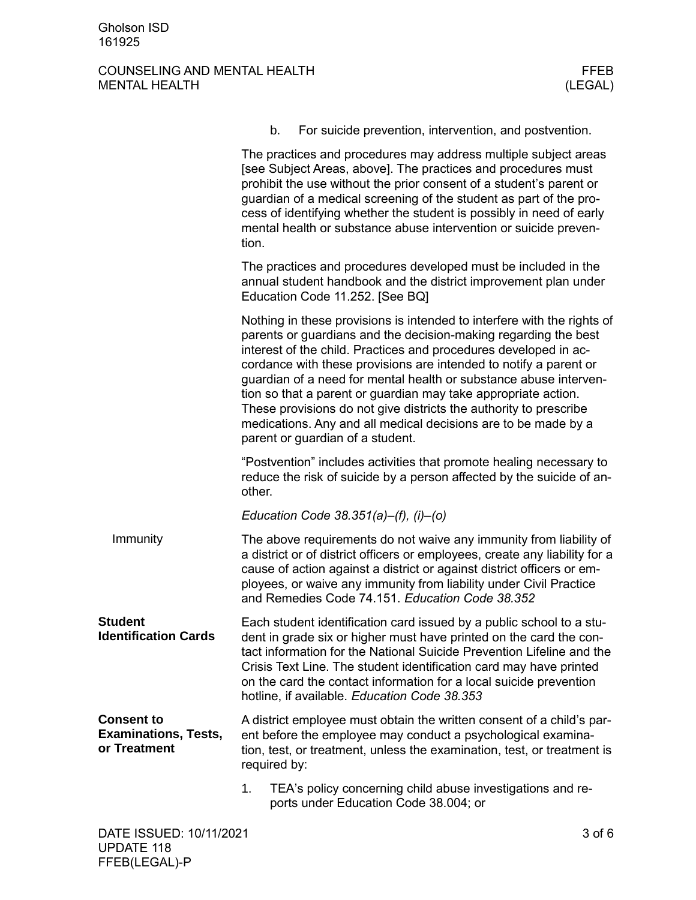# COUNSELING AND MENTAL HEALTH FFEB FFEB SERVICES AND MENTAL HEALTH FEEB MENTAL HEALTH MENTAL HEALTH

|                                                                  | b.                                                                                                                                                                                                                                                                                                                                                                                                                                                                                                                                                                                                    | For suicide prevention, intervention, and postvention. |
|------------------------------------------------------------------|-------------------------------------------------------------------------------------------------------------------------------------------------------------------------------------------------------------------------------------------------------------------------------------------------------------------------------------------------------------------------------------------------------------------------------------------------------------------------------------------------------------------------------------------------------------------------------------------------------|--------------------------------------------------------|
|                                                                  | The practices and procedures may address multiple subject areas<br>[see Subject Areas, above]. The practices and procedures must<br>prohibit the use without the prior consent of a student's parent or<br>guardian of a medical screening of the student as part of the pro-<br>cess of identifying whether the student is possibly in need of early<br>mental health or substance abuse intervention or suicide preven-<br>tion.                                                                                                                                                                    |                                                        |
|                                                                  | The practices and procedures developed must be included in the<br>annual student handbook and the district improvement plan under<br>Education Code 11.252. [See BQ]                                                                                                                                                                                                                                                                                                                                                                                                                                  |                                                        |
|                                                                  | Nothing in these provisions is intended to interfere with the rights of<br>parents or guardians and the decision-making regarding the best<br>interest of the child. Practices and procedures developed in ac-<br>cordance with these provisions are intended to notify a parent or<br>guardian of a need for mental health or substance abuse interven-<br>tion so that a parent or guardian may take appropriate action.<br>These provisions do not give districts the authority to prescribe<br>medications. Any and all medical decisions are to be made by a<br>parent or guardian of a student. |                                                        |
|                                                                  | "Postvention" includes activities that promote healing necessary to<br>reduce the risk of suicide by a person affected by the suicide of an-<br>other.                                                                                                                                                                                                                                                                                                                                                                                                                                                |                                                        |
|                                                                  | Education Code 38.351(a)-(f), (i)-(o)                                                                                                                                                                                                                                                                                                                                                                                                                                                                                                                                                                 |                                                        |
| Immunity                                                         | The above requirements do not waive any immunity from liability of<br>a district or of district officers or employees, create any liability for a<br>cause of action against a district or against district officers or em-<br>ployees, or waive any immunity from liability under Civil Practice<br>and Remedies Code 74.151. Education Code 38.352                                                                                                                                                                                                                                                  |                                                        |
| <b>Student</b><br><b>Identification Cards</b>                    | Each student identification card issued by a public school to a stu-<br>dent in grade six or higher must have printed on the card the con-<br>tact information for the National Suicide Prevention Lifeline and the<br>Crisis Text Line. The student identification card may have printed<br>on the card the contact information for a local suicide prevention<br>hotline, if available. Education Code 38.353                                                                                                                                                                                       |                                                        |
| <b>Consent to</b><br><b>Examinations, Tests,</b><br>or Treatment | A district employee must obtain the written consent of a child's par-<br>ent before the employee may conduct a psychological examina-<br>tion, test, or treatment, unless the examination, test, or treatment is<br>required by:                                                                                                                                                                                                                                                                                                                                                                      |                                                        |
|                                                                  | 1.<br>TEA's policy concerning child abuse investigations and re-<br>ports under Education Code 38.004; or                                                                                                                                                                                                                                                                                                                                                                                                                                                                                             |                                                        |
| DATE ISSUED: 10/11/2021                                          |                                                                                                                                                                                                                                                                                                                                                                                                                                                                                                                                                                                                       | $3$ of $6$                                             |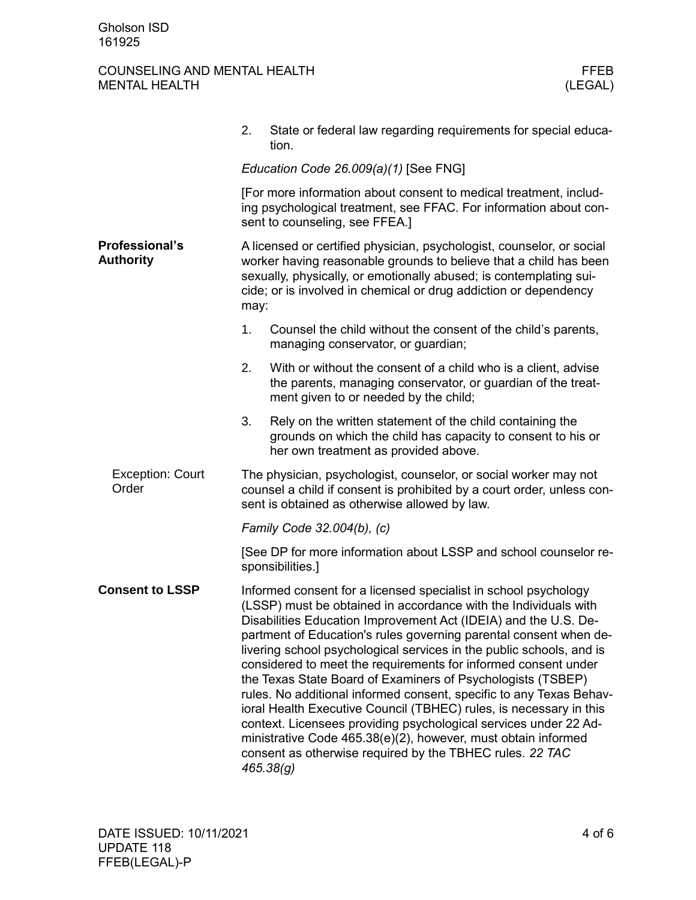# COUNSELING AND MENTAL HEALTH FFEB FFEB MENTAL HEALTH (LEGAL) MENTAL HEALTH

|                                           | State or federal law regarding requirements for special educa-<br>2.<br>tion.                                                                                                                                                                                                                                                                                                                                                                                                                                                                                                                                                                                                                                                                                                                                                                  |  |  |
|-------------------------------------------|------------------------------------------------------------------------------------------------------------------------------------------------------------------------------------------------------------------------------------------------------------------------------------------------------------------------------------------------------------------------------------------------------------------------------------------------------------------------------------------------------------------------------------------------------------------------------------------------------------------------------------------------------------------------------------------------------------------------------------------------------------------------------------------------------------------------------------------------|--|--|
|                                           | Education Code 26.009(a)(1) [See FNG]                                                                                                                                                                                                                                                                                                                                                                                                                                                                                                                                                                                                                                                                                                                                                                                                          |  |  |
|                                           | [For more information about consent to medical treatment, includ-<br>ing psychological treatment, see FFAC. For information about con-<br>sent to counseling, see FFEA.]                                                                                                                                                                                                                                                                                                                                                                                                                                                                                                                                                                                                                                                                       |  |  |
| <b>Professional's</b><br><b>Authority</b> | A licensed or certified physician, psychologist, counselor, or social<br>worker having reasonable grounds to believe that a child has been<br>sexually, physically, or emotionally abused; is contemplating sui-<br>cide; or is involved in chemical or drug addiction or dependency<br>may:                                                                                                                                                                                                                                                                                                                                                                                                                                                                                                                                                   |  |  |
|                                           | 1.<br>Counsel the child without the consent of the child's parents,<br>managing conservator, or guardian;                                                                                                                                                                                                                                                                                                                                                                                                                                                                                                                                                                                                                                                                                                                                      |  |  |
|                                           | 2.<br>With or without the consent of a child who is a client, advise<br>the parents, managing conservator, or guardian of the treat-<br>ment given to or needed by the child;                                                                                                                                                                                                                                                                                                                                                                                                                                                                                                                                                                                                                                                                  |  |  |
|                                           | 3.<br>Rely on the written statement of the child containing the<br>grounds on which the child has capacity to consent to his or<br>her own treatment as provided above.                                                                                                                                                                                                                                                                                                                                                                                                                                                                                                                                                                                                                                                                        |  |  |
| <b>Exception: Court</b><br>Order          | The physician, psychologist, counselor, or social worker may not<br>counsel a child if consent is prohibited by a court order, unless con-<br>sent is obtained as otherwise allowed by law.                                                                                                                                                                                                                                                                                                                                                                                                                                                                                                                                                                                                                                                    |  |  |
|                                           | Family Code 32.004(b), (c)                                                                                                                                                                                                                                                                                                                                                                                                                                                                                                                                                                                                                                                                                                                                                                                                                     |  |  |
|                                           | [See DP for more information about LSSP and school counselor re-<br>sponsibilities.]                                                                                                                                                                                                                                                                                                                                                                                                                                                                                                                                                                                                                                                                                                                                                           |  |  |
| <b>Consent to LSSP</b>                    | Informed consent for a licensed specialist in school psychology<br>(LSSP) must be obtained in accordance with the Individuals with<br>Disabilities Education Improvement Act (IDEIA) and the U.S. De-<br>partment of Education's rules governing parental consent when de-<br>livering school psychological services in the public schools, and is<br>considered to meet the requirements for informed consent under<br>the Texas State Board of Examiners of Psychologists (TSBEP)<br>rules. No additional informed consent, specific to any Texas Behav-<br>ioral Health Executive Council (TBHEC) rules, is necessary in this<br>context. Licensees providing psychological services under 22 Ad-<br>ministrative Code 465.38(e)(2), however, must obtain informed<br>consent as otherwise required by the TBHEC rules. 22 TAC<br>465.38(g) |  |  |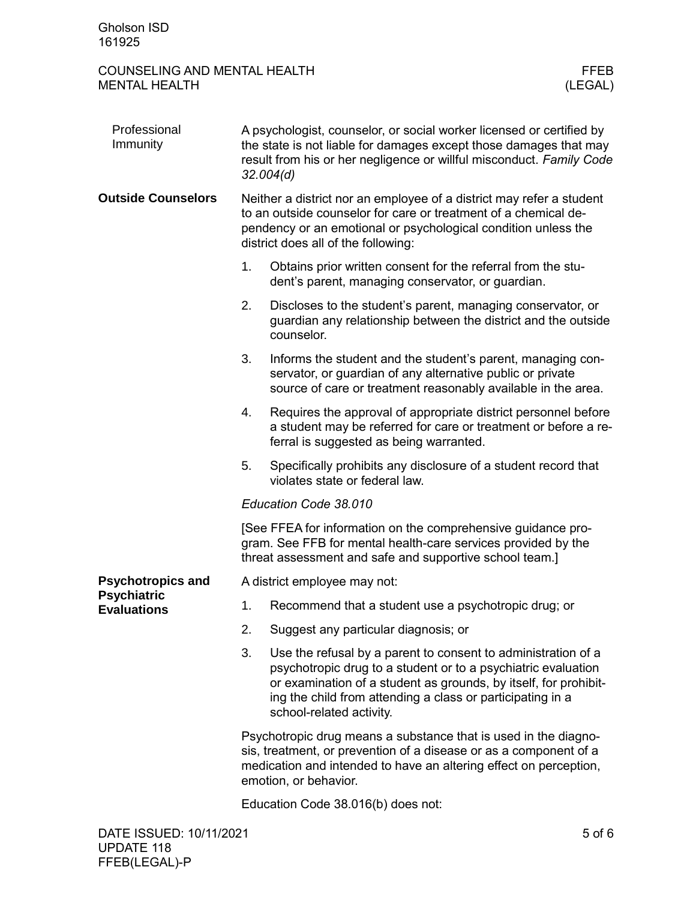## COUNSELING AND MENTAL HEALTH FEER THE MENTAL HEALTH SERVICE SERVICES AND MENTAL HEALTH MENTAL HEALTH

| Professional<br>Immunity                 | A psychologist, counselor, or social worker licensed or certified by<br>the state is not liable for damages except those damages that may<br>result from his or her negligence or willful misconduct. Family Code<br>32.004(d)                   |                                                                                                                                                                                                                                                                                              |            |
|------------------------------------------|--------------------------------------------------------------------------------------------------------------------------------------------------------------------------------------------------------------------------------------------------|----------------------------------------------------------------------------------------------------------------------------------------------------------------------------------------------------------------------------------------------------------------------------------------------|------------|
| <b>Outside Counselors</b>                | Neither a district nor an employee of a district may refer a student<br>to an outside counselor for care or treatment of a chemical de-<br>pendency or an emotional or psychological condition unless the<br>district does all of the following: |                                                                                                                                                                                                                                                                                              |            |
|                                          | 1.                                                                                                                                                                                                                                               | Obtains prior written consent for the referral from the stu-<br>dent's parent, managing conservator, or guardian.                                                                                                                                                                            |            |
|                                          | 2.                                                                                                                                                                                                                                               | Discloses to the student's parent, managing conservator, or<br>guardian any relationship between the district and the outside<br>counselor.                                                                                                                                                  |            |
|                                          | 3.                                                                                                                                                                                                                                               | Informs the student and the student's parent, managing con-<br>servator, or guardian of any alternative public or private<br>source of care or treatment reasonably available in the area.                                                                                                   |            |
|                                          | 4.                                                                                                                                                                                                                                               | Requires the approval of appropriate district personnel before<br>a student may be referred for care or treatment or before a re-<br>ferral is suggested as being warranted.                                                                                                                 |            |
|                                          | 5.                                                                                                                                                                                                                                               | Specifically prohibits any disclosure of a student record that<br>violates state or federal law.                                                                                                                                                                                             |            |
|                                          | Education Code 38.010                                                                                                                                                                                                                            |                                                                                                                                                                                                                                                                                              |            |
|                                          |                                                                                                                                                                                                                                                  | [See FFEA for information on the comprehensive guidance pro-<br>gram. See FFB for mental health-care services provided by the<br>threat assessment and safe and supportive school team.]                                                                                                     |            |
| <b>Psychotropics and</b>                 | A district employee may not:                                                                                                                                                                                                                     |                                                                                                                                                                                                                                                                                              |            |
| <b>Psychiatric</b><br><b>Evaluations</b> | 1.                                                                                                                                                                                                                                               | Recommend that a student use a psychotropic drug; or                                                                                                                                                                                                                                         |            |
|                                          | 2.                                                                                                                                                                                                                                               | Suggest any particular diagnosis; or                                                                                                                                                                                                                                                         |            |
|                                          | 3.                                                                                                                                                                                                                                               | Use the refusal by a parent to consent to administration of a<br>psychotropic drug to a student or to a psychiatric evaluation<br>or examination of a student as grounds, by itself, for prohibit-<br>ing the child from attending a class or participating in a<br>school-related activity. |            |
|                                          |                                                                                                                                                                                                                                                  | Psychotropic drug means a substance that is used in the diagno-<br>sis, treatment, or prevention of a disease or as a component of a<br>medication and intended to have an altering effect on perception,<br>emotion, or behavior.                                                           |            |
|                                          |                                                                                                                                                                                                                                                  | Education Code 38.016(b) does not:                                                                                                                                                                                                                                                           |            |
| DATE ISSUED: 10/11/2021                  |                                                                                                                                                                                                                                                  |                                                                                                                                                                                                                                                                                              | $5$ of $6$ |